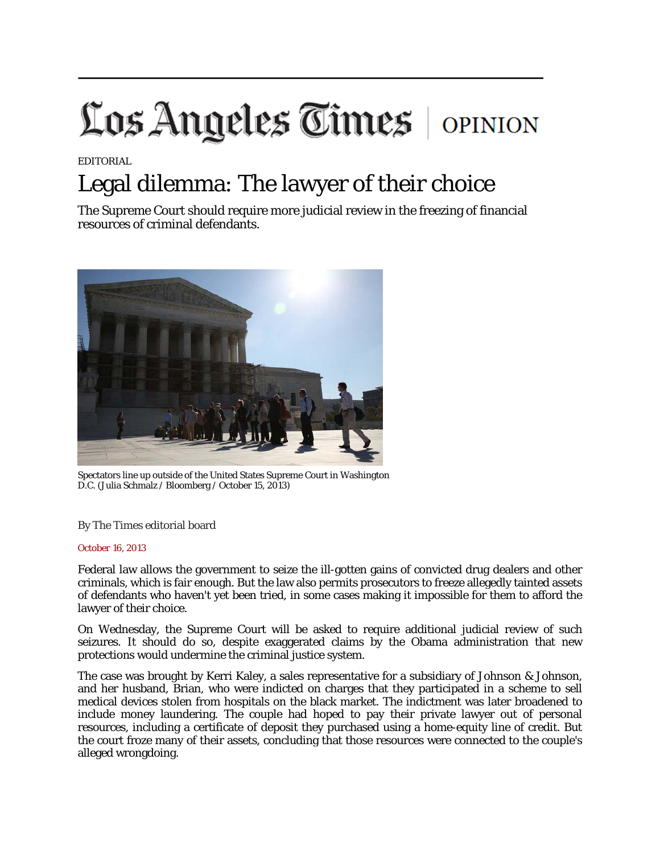## Los Angeles Times | OPINION

EDITORIAL

## Legal dilemma: The lawyer of their choice

The Supreme Court should require more judicial review in the freezing of financial resources of criminal defendants.



Spectators line up outside of the United States Supreme Court in Washington D.C. (Julia Schmalz / Bloomberg / October 15, 2013)

By The Times editorial board

## *October 16, 2013*

Federal law allows the government to seize the ill-gotten gains of convicted drug dealers and other criminals, which is fair enough. But the law also permits prosecutors to freeze allegedly tainted assets of defendants who haven't yet been tried, in some cases making it impossible for them to afford the lawyer of their choice.

On Wednesday, the Supreme Court will be asked to require additional judicial review of such seizures. It should do so, despite exaggerated claims by the Obama administration that new protections would undermine the criminal justice system.

The case was brought by Kerri Kaley, a sales representative for a subsidiary of Johnson & Johnson, and her husband, Brian, who were indicted on charges that they participated in a scheme to sell medical devices stolen from hospitals on the black market. The indictment was later broadened to include money laundering. The couple had hoped to pay their private lawyer out of personal resources, including a certificate of deposit they purchased using a home-equity line of credit. But the court froze many of their assets, concluding that those resources were connected to the couple's alleged wrongdoing.